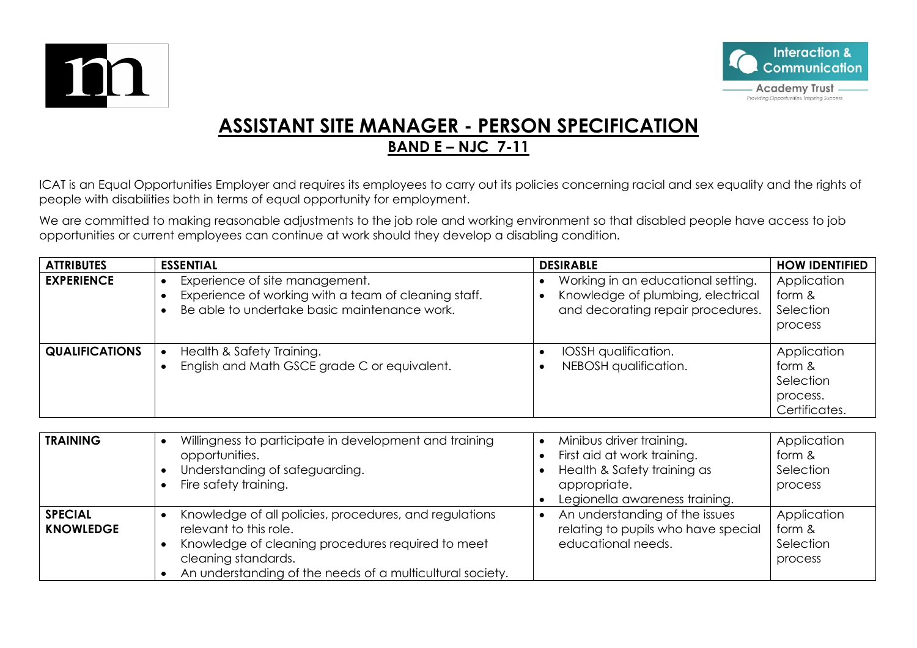



## **ASSISTANT SITE MANAGER - PERSON SPECIFICATION BAND E – NJC 7-11**

ICAT is an Equal Opportunities Employer and requires its employees to carry out its policies concerning racial and sex equality and the rights of people with disabilities both in terms of equal opportunity for employment.

We are committed to making reasonable adjustments to the job role and working environment so that disabled people have access to job opportunities or current employees can continue at work should they develop a disabling condition.

| <b>ATTRIBUTES</b>     | <b>ESSENTIAL</b>                                                                                                                       | <b>DESIRABLE</b>                                                                                             | <b>HOW IDENTIFIED</b>                                           |
|-----------------------|----------------------------------------------------------------------------------------------------------------------------------------|--------------------------------------------------------------------------------------------------------------|-----------------------------------------------------------------|
| <b>EXPERIENCE</b>     | Experience of site management.<br>Experience of working with a team of cleaning staff.<br>Be able to undertake basic maintenance work. | Working in an educational setting.<br>Knowledge of plumbing, electrical<br>and decorating repair procedures. | Application<br>form &<br>Selection<br>process                   |
| <b>QUALIFICATIONS</b> | Health & Safety Training.<br>English and Math GSCE grade C or equivalent.                                                              | IOSSH qualification.<br>NEBOSH qualification.                                                                | Application<br>form &<br>Selection<br>process.<br>Certificates. |
| <b>TRAINING</b>       | Willingness to participate in development and training                                                                                 | Minibus driver training                                                                                      | Annlication                                                     |

| <b>TRAINING</b>                    | Willingness to participate in development and training<br>opportunities.<br>Understanding of safeguarding.<br>Fire safety training.                                                                                       | Minibus driver training.<br>First aid at work training.<br>Health & Safety training as<br>appropriate.<br>Legionella awareness training. | Application<br>form &<br>Selection<br>process |
|------------------------------------|---------------------------------------------------------------------------------------------------------------------------------------------------------------------------------------------------------------------------|------------------------------------------------------------------------------------------------------------------------------------------|-----------------------------------------------|
| <b>SPECIAL</b><br><b>KNOWLEDGE</b> | Knowledge of all policies, procedures, and regulations<br>relevant to this role.<br>Knowledge of cleaning procedures required to meet<br>cleaning standards.<br>An understanding of the needs of a multicultural society. | An understanding of the issues<br>relating to pupils who have special<br>educational needs.                                              | Application<br>form &<br>Selection<br>process |